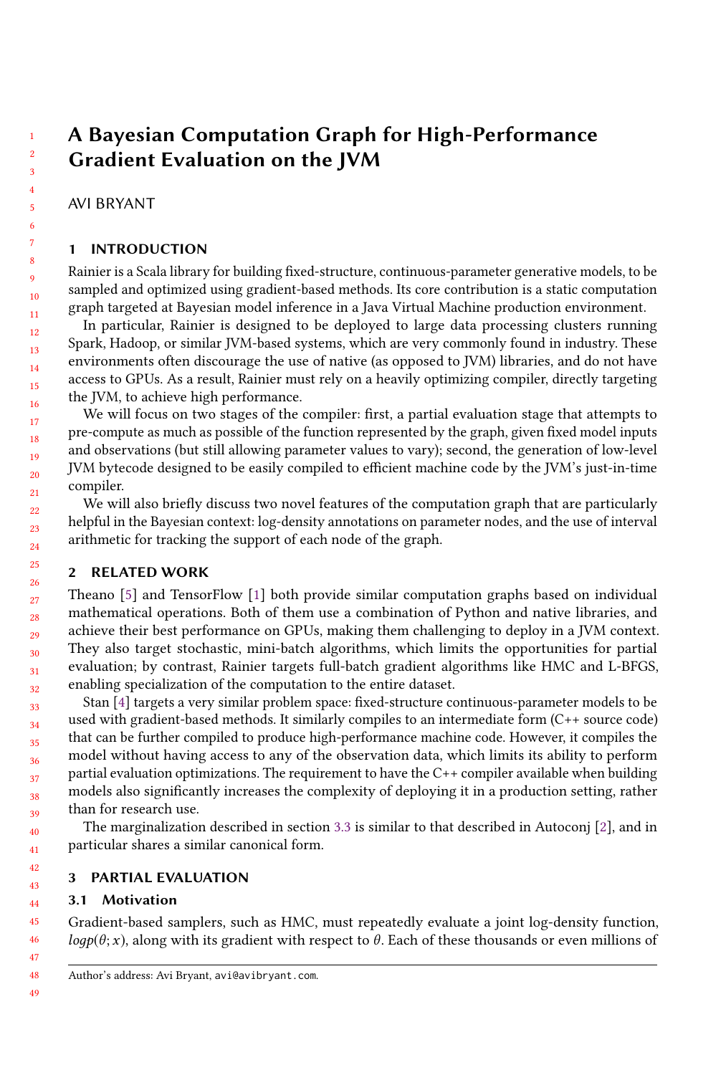# A Bayesian Computation Graph for High-Performance Gradient Evaluation on the JVM

# AVI BRYANT

### 1 INTRODUCTION

Rainier is a Scala library for building fixed-structure, continuous-parameter generative models, to be sampled and optimized using gradient-based methods. Its core contribution is a static computation graph targeted at Bayesian model inference in a Java Virtual Machine production environment.

In particular, Rainier is designed to be deployed to large data processing clusters running Spark, Hadoop, or similar JVM-based systems, which are very commonly found in industry. These environments often discourage the use of native (as opposed to JVM) libraries, and do not have access to GPUs. As a result, Rainier must rely on a heavily optimizing compiler, directly targeting the JVM, to achieve high performance.

We will focus on two stages of the compiler: first, a partial evaluation stage that attempts to pre-compute as much as possible of the function represented by the graph, given fixed model inputs and observations (but still allowing parameter values to vary); second, the generation of low-level JVM bytecode designed to be easily compiled to efficient machine code by the JVM's just-in-time compiler.

We will also briefly discuss two novel features of the computation graph that are particularly helpful in the Bayesian context: log-density annotations on parameter nodes, and the use of interval arithmetic for tracking the support of each node of the graph.

# 2 RELATED WORK

Theano [\[5\]](#page-6-0) and TensorFlow [\[1\]](#page-6-1) both provide similar computation graphs based on individual mathematical operations. Both of them use a combination of Python and native libraries, and achieve their best performance on GPUs, making them challenging to deploy in a JVM context. They also target stochastic, mini-batch algorithms, which limits the opportunities for partial evaluation; by contrast, Rainier targets full-batch gradient algorithms like HMC and L-BFGS, enabling specialization of the computation to the entire dataset.

Stan [\[4\]](#page-6-2) targets a very similar problem space: fixed-structure continuous-parameter models to be used with gradient-based methods. It similarly compiles to an intermediate form (C++ source code) that can be further compiled to produce high-performance machine code. However, it compiles the model without having access to any of the observation data, which limits its ability to perform partial evaluation optimizations. The requirement to have the C++ compiler available when building models also significantly increases the complexity of deploying it in a production setting, rather than for research use.

The marginalization described in section [3.3](#page-1-0) is similar to that described in Autoconj [\[2\]](#page-6-3), and in particular shares a similar canonical form.

#### 3 PARTIAL EVALUATION

# 3.1 Motivation

Gradient-based samplers, such as HMC, must repeatedly evaluate a joint log-density function,  $logp(\theta; x)$ , along with its gradient with respect to  $\theta$ . Each of these thousands or even millions of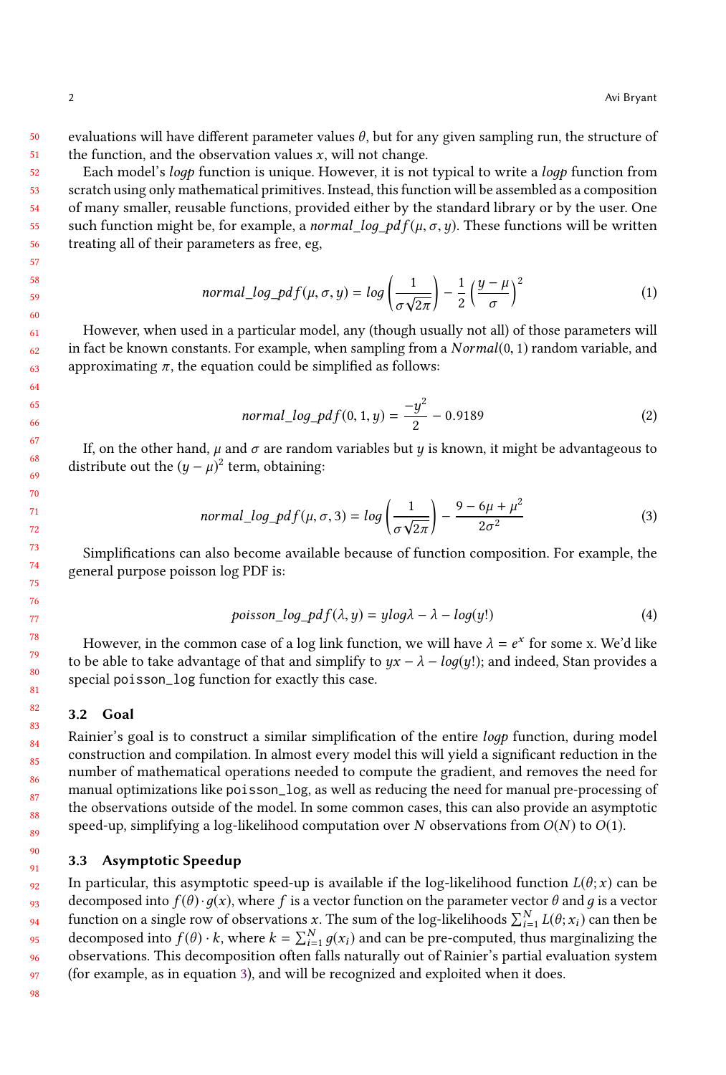50 51 evaluations will have different parameter values  $\theta$ , but for any given sampling run, the structure of the function, and the observation values  $x$ , will not change.

Each model's *logp* function is unique. However, it is not typical to write a *logp* function from scratch using only mathematical primitives. Instead, this function will be assembled as a composition of many smaller, reusable functions, provided either by the standard library or by the user. One such function might be, for example, a *normal\_loq\_pd*  $f(\mu, \sigma, \nu)$ . These functions will be written treating all of their parameters as free, eg,

$$
normal\_log\_pdf(\mu, \sigma, y) = log\left(\frac{1}{\sigma\sqrt{2\pi}}\right) - \frac{1}{2}\left(\frac{y-\mu}{\sigma}\right)^2\tag{1}
$$

However, when used in a particular model, any (though usually not all) of those parameters will in fact be known constants. For example, when sampling from a  $Normal(0, 1)$  random variable, and approximating  $\pi$ , the equation could be simplified as follows:

$$
normal\_log\_pdf(0, 1, y) = \frac{-y^2}{2} - 0.9189\tag{2}
$$

If, on the other hand,  $\mu$  and  $\sigma$  are random variables but y is known, it might be advantageous to distribute out the  $(y - \mu)^2$  term, obtaining:

<span id="page-1-1"></span>
$$
normal\_log\_pdf(\mu, \sigma, 3) = log\left(\frac{1}{\sigma\sqrt{2\pi}}\right) - \frac{9 - 6\mu + \mu^2}{2\sigma^2}
$$
(3)

Simplifications can also become available because of function composition. For example, the general purpose poisson log PDF is:

$$
poisson\_log\_pdf(\lambda, y) = ylog\lambda - \lambda - log(y!) \tag{4}
$$

However, in the common case of a log link function, we will have  $\lambda = e^x$  for some x. We'd like to be able to take advantage of that and simplify to  $yx - \lambda - \log(y!)$ ; and indeed, Stan provides a special poisson\_log function for exactly this case.

#### 3.2 Goal

Rainier's goal is to construct a similar simplification of the entire loдp function, during model construction and compilation. In almost every model this will yield a significant reduction in the number of mathematical operations needed to compute the gradient, and removes the need for manual optimizations like poisson\_log, as well as reducing the need for manual pre-processing of the observations outside of the model. In some common cases, this can also provide an asymptotic speed-up, simplifying a log-likelihood computation over N observations from  $O(N)$  to  $O(1)$ .

#### <span id="page-1-0"></span>3.3 Asymptotic Speedup

92 93 94 95 96 97 In particular, this asymptotic speed-up is available if the log-likelihood function  $L(\theta; x)$  can be decomposed into  $f(\theta) \cdot g(x)$ , where f is a vector function on the parameter vector  $\theta$  and g is a vector function on a single row of observations x. The sum of the log-likelihoods  $\sum_{i=1}^{N} L(\theta; x_i)$  can then be decomposed into  $f(\theta)$ , k where  $k = \sum_{i=1}^{N} a(x_i)$  and son be are computed thus morginalizing the decomposed into  $f(\theta) \cdot k$ , where  $k = \sum_{i=1}^{N} g(x_i)$  and can be pre-computed, thus marginalizing the observations. This decomposition often falls naturally out of Bainiar's partial evaluation system observations. This decomposition often falls naturally out of Rainier's partial evaluation system (for example, as in equation [3\)](#page-1-1), and will be recognized and exploited when it does.

98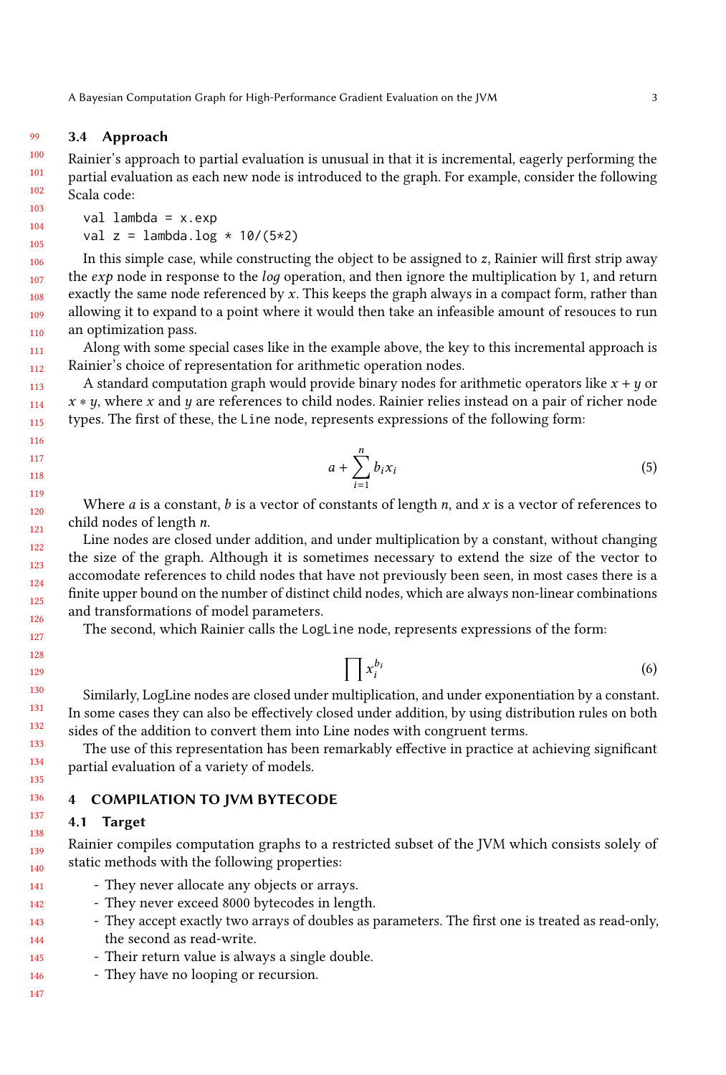#### 99 3.4 Approach

100 101 102 Rainier's approach to partial evaluation is unusual in that it is incremental, eagerly performing the partial evaluation as each new node is introduced to the graph. For example, consider the following Scala code:

val lambda =  $x.exp$ val  $z =$  lambda.log  $*$  10/(5\*2)

In this simple case, while constructing the object to be assigned to z, Rainier will first strip away the  $exp$  node in response to the *log* operation, and then ignore the multiplication by 1, and return exactly the same node referenced by  $x$ . This keeps the graph always in a compact form, rather than allowing it to expand to a point where it would then take an infeasible amount of resouces to run an optimization pass.

Along with some special cases like in the example above, the key to this incremental approach is Rainier's choice of representation for arithmetic operation nodes.

A standard computation graph would provide binary nodes for arithmetic operators like  $x + y$  or  $x * y$ , where x and y are references to child nodes. Rainier relies instead on a pair of richer node types. The first of these, the Line node, represents expressions of the following form:

$$
a + \sum_{i=1}^{n} b_i x_i \tag{5}
$$

Where *a* is a constant, *b* is a vector of constants of length *n*, and *x* is a vector of references to child nodes of length n.

Line nodes are closed under addition, and under multiplication by a constant, without changing the size of the graph. Although it is sometimes necessary to extend the size of the vector to accomodate references to child nodes that have not previously been seen, in most cases there is a finite upper bound on the number of distinct child nodes, which are always non-linear combinations and transformations of model parameters.

The second, which Rainier calls the LogLine node, represents expressions of the form:

$$
\prod x_i^{b_i} \tag{6}
$$

Similarly, LogLine nodes are closed under multiplication, and under exponentiation by a constant. In some cases they can also be effectively closed under addition, by using distribution rules on both sides of the addition to convert them into Line nodes with congruent terms.

The use of this representation has been remarkably effective in practice at achieving significant partial evaluation of a variety of models.

#### 4 COMPILATION TO JVM BYTECODE

#### 4.1 Target

Rainier compiles computation graphs to a restricted subset of the JVM which consists solely of static methods with the following properties:

- 141 - They never allocate any objects or arrays.
- 142 - They never exceed 8000 bytecodes in length.
- 143 144 - They accept exactly two arrays of doubles as parameters. The first one is treated as read-only, the second as read-write.
- 145 - Their return value is always a single double.
- 146 - They have no looping or recursion.
- 147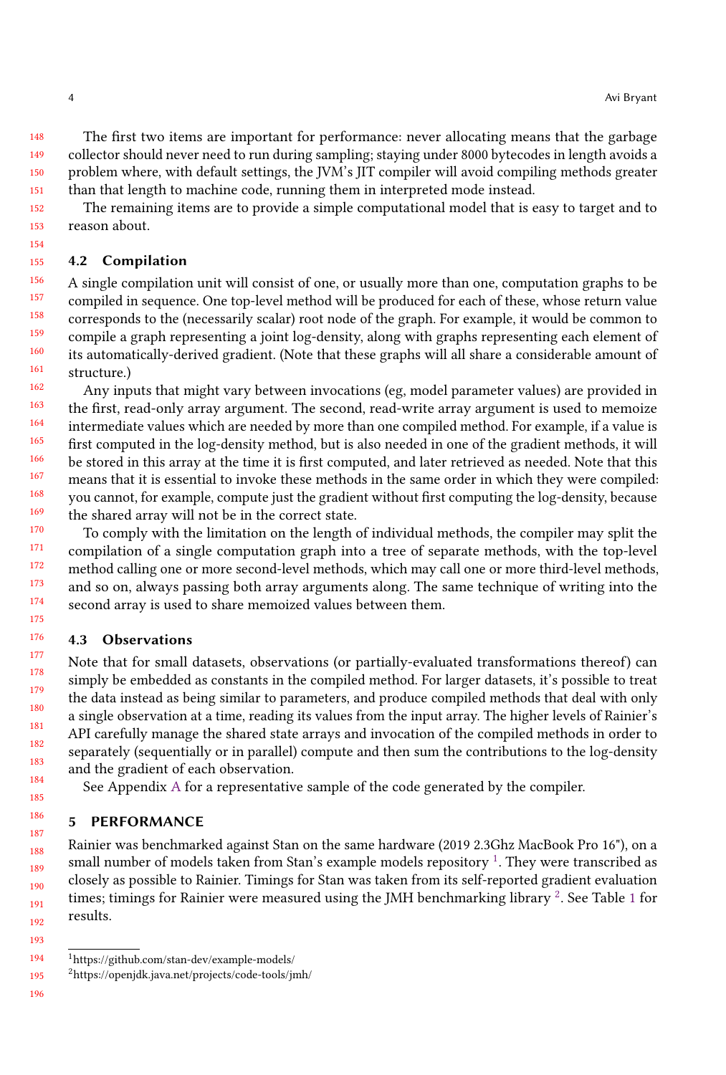148 149 150 151 The first two items are important for performance: never allocating means that the garbage collector should never need to run during sampling; staying under 8000 bytecodes in length avoids a problem where, with default settings, the JVM's JIT compiler will avoid compiling methods greater than that length to machine code, running them in interpreted mode instead.

152 153 The remaining items are to provide a simple computational model that is easy to target and to reason about.

### 4.2 Compilation

156 157 158 159 160 161 A single compilation unit will consist of one, or usually more than one, computation graphs to be compiled in sequence. One top-level method will be produced for each of these, whose return value corresponds to the (necessarily scalar) root node of the graph. For example, it would be common to compile a graph representing a joint log-density, along with graphs representing each element of its automatically-derived gradient. (Note that these graphs will all share a considerable amount of structure.)

162 163 164 165 166 167 168 169 Any inputs that might vary between invocations (eg, model parameter values) are provided in the first, read-only array argument. The second, read-write array argument is used to memoize intermediate values which are needed by more than one compiled method. For example, if a value is first computed in the log-density method, but is also needed in one of the gradient methods, it will be stored in this array at the time it is first computed, and later retrieved as needed. Note that this means that it is essential to invoke these methods in the same order in which they were compiled: you cannot, for example, compute just the gradient without first computing the log-density, because the shared array will not be in the correct state.

170 171 172 173 174 175 To comply with the limitation on the length of individual methods, the compiler may split the compilation of a single computation graph into a tree of separate methods, with the top-level method calling one or more second-level methods, which may call one or more third-level methods, and so on, always passing both array arguments along. The same technique of writing into the second array is used to share memoized values between them.

# 4.3 Observations

Note that for small datasets, observations (or partially-evaluated transformations thereof) can simply be embedded as constants in the compiled method. For larger datasets, it's possible to treat the data instead as being similar to parameters, and produce compiled methods that deal with only a single observation at a time, reading its values from the input array. The higher levels of Rainier's API carefully manage the shared state arrays and invocation of the compiled methods in order to separately (sequentially or in parallel) compute and then sum the contributions to the log-density and the gradient of each observation.

See Appendix [A](#page-6-4) for a representative sample of the code generated by the compiler.

# 5 PERFORMANCE

Rainier was benchmarked against Stan on the same hardware (2019 2.3Ghz MacBook Pro 16"), on a small number of models taken from Stan's example models repository  $^1.$  $^1.$  $^1.$  They were transcribed as closely as possible to Rainier. Timings for Stan was taken from its self-reported gradient evaluation times; timings for Rainier were measured using the JMH benchmarking library  $^2$  $^2$ . See Table [1](#page-4-0) for results.

154 155

<span id="page-3-0"></span><sup>194</sup> <sup>1</sup>https://github.com/stan-dev/example-models/

<span id="page-3-1"></span><sup>195</sup> <sup>2</sup>https://openjdk.java.net/projects/code-tools/jmh/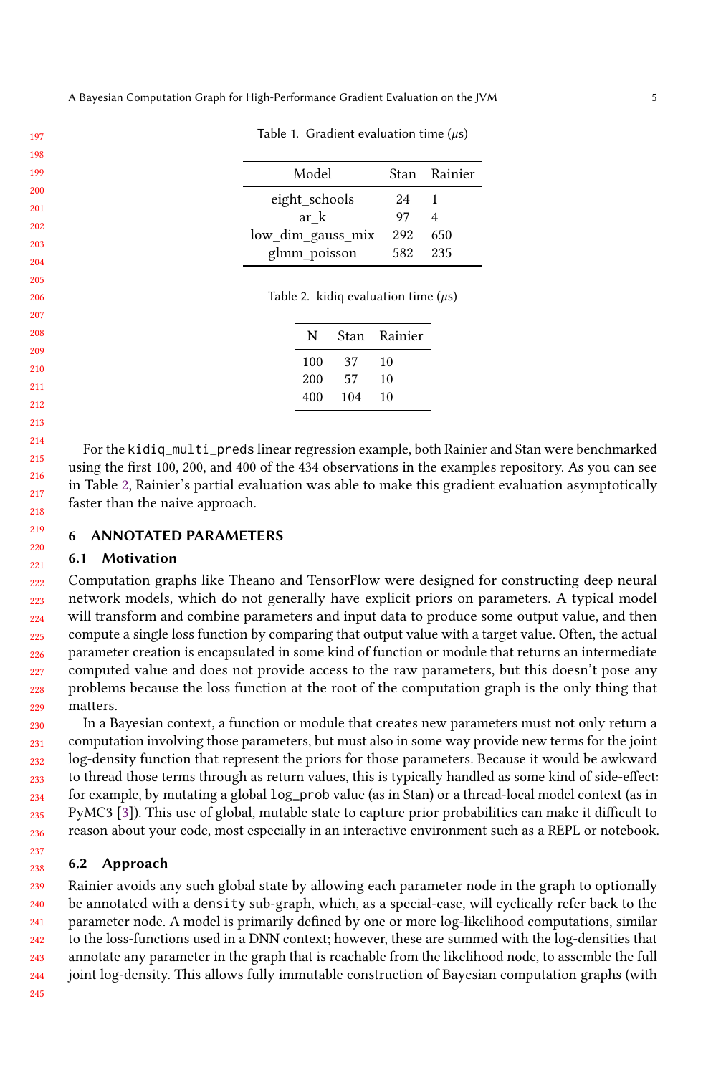<span id="page-4-0"></span>A Bayesian Computation Graph for High-Performance Gradient Evaluation on the JVM 5

<span id="page-4-1"></span>

|                   | Stan Rainier |
|-------------------|--------------|
| 24                |              |
| 97                | 4            |
| 292               | 650          |
|                   |              |
| low_dim_gauss_mix | 582 235      |

Table 1. Gradient evaluation time (µs)

Table 2. kidiq evaluation time  $(\mu s)$ 

| N   | Stan | Rainier |
|-----|------|---------|
| 100 | 37   | 10      |
| 200 | 57   | 10      |
| 400 | 104  | 10      |
|     |      |         |

For the kidiq\_multi\_preds linear regression example, both Rainier and Stan were benchmarked using the first 100, 200, and 400 of the 434 observations in the examples repository. As you can see in Table [2,](#page-4-1) Rainier's partial evaluation was able to make this gradient evaluation asymptotically faster than the naive approach.

#### 6 ANNOTATED PARAMETERS

#### 6.1 Motivation

222 223 224 225 226 227 228 229 Computation graphs like Theano and TensorFlow were designed for constructing deep neural network models, which do not generally have explicit priors on parameters. A typical model will transform and combine parameters and input data to produce some output value, and then compute a single loss function by comparing that output value with a target value. Often, the actual parameter creation is encapsulated in some kind of function or module that returns an intermediate computed value and does not provide access to the raw parameters, but this doesn't pose any problems because the loss function at the root of the computation graph is the only thing that matters.

230 231 232 233 234 235 236 In a Bayesian context, a function or module that creates new parameters must not only return a computation involving those parameters, but must also in some way provide new terms for the joint log-density function that represent the priors for those parameters. Because it would be awkward to thread those terms through as return values, this is typically handled as some kind of side-effect: for example, by mutating a global log\_prob value (as in Stan) or a thread-local model context (as in PyMC3 [\[3\]](#page-6-5)). This use of global, mutable state to capture prior probabilities can make it difficult to reason about your code, most especially in an interactive environment such as a REPL or notebook.

#### 6.2 Approach

239 240 241 242 243 244 Rainier avoids any such global state by allowing each parameter node in the graph to optionally be annotated with a density sub-graph, which, as a special-case, will cyclically refer back to the parameter node. A model is primarily defined by one or more log-likelihood computations, similar to the loss-functions used in a DNN context; however, these are summed with the log-densities that annotate any parameter in the graph that is reachable from the likelihood node, to assemble the full joint log-density. This allows fully immutable construction of Bayesian computation graphs (with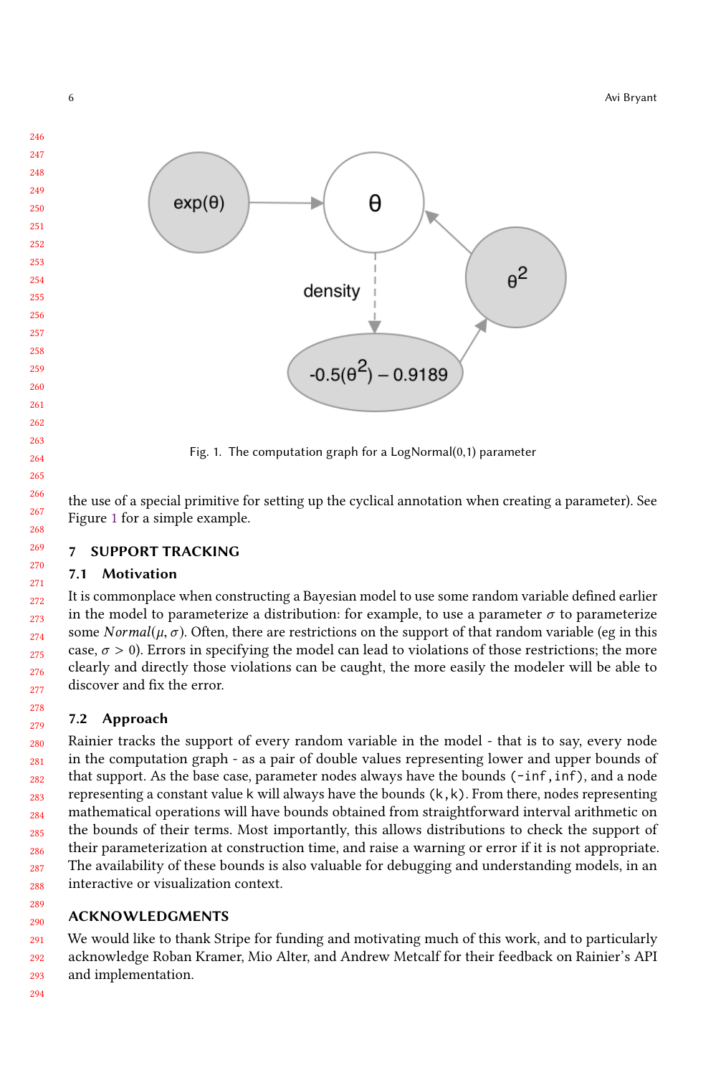<span id="page-5-0"></span>

Fig. 1. The computation graph for a LogNormal(0,1) parameter

the use of a special primitive for setting up the cyclical annotation when creating a parameter). See Figure [1](#page-5-0) for a simple example.

# **SUPPORT TRACKING**

# 7.1 Motivation

It is commonplace when constructing a Bayesian model to use some random variable defined earlier in the model to parameterize a distribution: for example, to use a parameter  $\sigma$  to parameterize some Normal( $\mu$ ,  $\sigma$ ). Often, there are restrictions on the support of that random variable (eg in this case,  $\sigma > 0$ ). Errors in specifying the model can lead to violations of those restrictions; the more clearly and directly those violations can be caught, the more easily the modeler will be able to discover and fix the error.

# 7.2 Approach

 Rainier tracks the support of every random variable in the model - that is to say, every node in the computation graph - as a pair of double values representing lower and upper bounds of that support. As the base case, parameter nodes always have the bounds  $(-inf, inf)$ , and a node representing a constant value k will always have the bounds  $(k, k)$ . From there, nodes representing mathematical operations will have bounds obtained from straightforward interval arithmetic on the bounds of their terms. Most importantly, this allows distributions to check the support of their parameterization at construction time, and raise a warning or error if it is not appropriate. The availability of these bounds is also valuable for debugging and understanding models, in an interactive or visualization context.

#### ACKNOWLEDGMENTS

 We would like to thank Stripe for funding and motivating much of this work, and to particularly acknowledge Roban Kramer, Mio Alter, and Andrew Metcalf for their feedback on Rainier's API and implementation.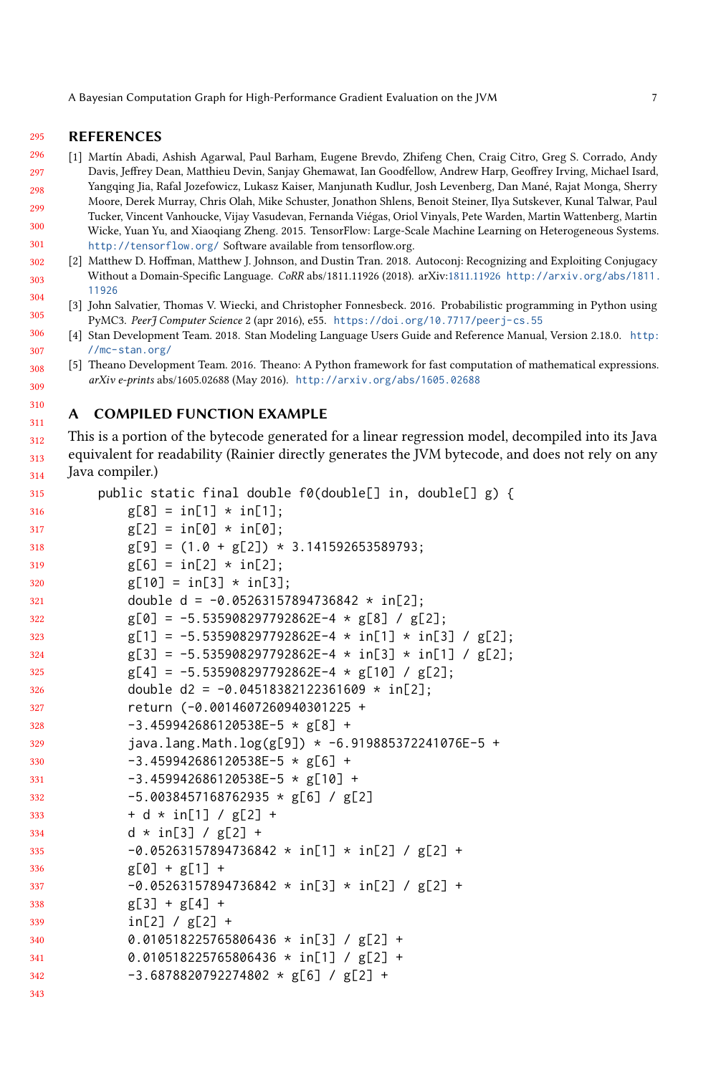A Bayesian Computation Graph for High-Performance Gradient Evaluation on the JVM 7

#### 295 REFERENCES

310 311

- <span id="page-6-1"></span>296 297 298 [1] Martín Abadi, Ashish Agarwal, Paul Barham, Eugene Brevdo, Zhifeng Chen, Craig Citro, Greg S. Corrado, Andy Davis, Jeffrey Dean, Matthieu Devin, Sanjay Ghemawat, Ian Goodfellow, Andrew Harp, Geoffrey Irving, Michael Isard, Yangqing Jia, Rafal Jozefowicz, Lukasz Kaiser, Manjunath Kudlur, Josh Levenberg, Dan Mané, Rajat Monga, Sherry
- 299 300 301 Moore, Derek Murray, Chris Olah, Mike Schuster, Jonathon Shlens, Benoit Steiner, Ilya Sutskever, Kunal Talwar, Paul Tucker, Vincent Vanhoucke, Vijay Vasudevan, Fernanda Viégas, Oriol Vinyals, Pete Warden, Martin Wattenberg, Martin Wicke, Yuan Yu, and Xiaoqiang Zheng. 2015. TensorFlow: Large-Scale Machine Learning on Heterogeneous Systems. <http://tensorflow.org/> Software available from tensorflow.org.
- <span id="page-6-3"></span>302 303 304 [2] Matthew D. Hoffman, Matthew J. Johnson, and Dustin Tran. 2018. Autoconj: Recognizing and Exploiting Conjugacy Without a Domain-Specific Language. CoRR abs/1811.11926 (2018). arXiv[:1811.11926](http://arxiv.org/abs/1811.11926) [http://arxiv.org/abs/1811.](http://arxiv.org/abs/1811.11926) [11926](http://arxiv.org/abs/1811.11926)
- <span id="page-6-5"></span>305 [3] John Salvatier, Thomas V. Wiecki, and Christopher Fonnesbeck. 2016. Probabilistic programming in Python using PyMC3. PeerJ Computer Science 2 (apr 2016), e55. <https://doi.org/10.7717/peerj-cs.55>
- <span id="page-6-2"></span>306 307 [4] Stan Development Team. 2018. Stan Modeling Language Users Guide and Reference Manual, Version 2.18.0. [http:](http://mc-stan.org/) [//mc-stan.org/](http://mc-stan.org/)
- <span id="page-6-0"></span>308 309 [5] Theano Development Team. 2016. Theano: A Python framework for fast computation of mathematical expressions. arXiv e-prints abs/1605.02688 (May 2016). <http://arxiv.org/abs/1605.02688>

#### <span id="page-6-4"></span>A COMPILED FUNCTION EXAMPLE

312 313 314 This is a portion of the bytecode generated for a linear regression model, decompiled into its Java equivalent for readability (Rainier directly generates the JVM bytecode, and does not rely on any Java compiler.)

```
315
316
317
318
319
320
321
322
323
324
325
326
327
328
329
330
331
332
333
334
335
336
337
338
339
340
341
342
343
         public static final double f0(double[] in, double[] g) {
             g[8] = in[1] * in[1];g[2] = in[0] * in[0];g[9] = (1.0 + g[2]) * 3.141592653589793;g[6] = in[2] * in[2];g[10] = in[3] * in[3];double d = -0.05263157894736842 \times \text{in} [2];
             g[0] = -5.535908297792862E-4 * g[8] / g[2];g[1] = -5.535908297792862E-4 * in[1] * in[3] / g[2];g[3] = -5.535908297792862E-4 * in[3] * in[1] / g[2];g[4] = -5.535908297792862E-4 * g[10] / g[2];double d2 = -0.04518382122361609 * in[2];return (-0.0014607260940301225 +
             -3.459942686120538E-5 * g[8] +java.lang.Math.log(g[9]) * -6.919885372241076E-5 +-3.459942686120538E-5 * g[6] +-3.459942686120538E-5 * g[10] +-5.0038457168762935 * g[6] / g[2]+ d * in[1] / g[2] +
             d * in[3] / g[2] +
             -0.05263157894736842 * in[1] * in[2] / g[2] +g[0] + g[1] +-0.05263157894736842 * in[3] * in[2] / g[2] +g[3] + g[4] +in[2] / g[2] +0.010518225765806436 * in[3] / g[2] +
             0.010518225765806436 * in[1] / g[2] +
              -3.6878820792274802 * g[6] / g[2] +
```